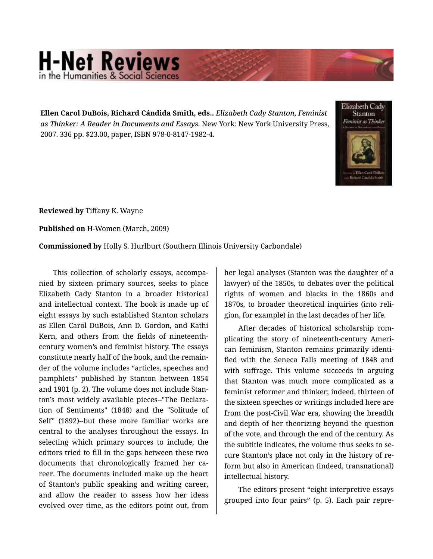## **H-Net Reviews**

**Ellen Carol DuBois, Richard Cándida Smith, eds..** *Elizabeth Cady Stanton, Feminist as Thinker: A Reader in Documents and Essays.* New York: New York University Press, 2007. 336 pp. \$23.00, paper, ISBN 978-0-8147-1982-4.



**Reviewed by** Tiffany K. Wayne

**Published on** H-Women (March, 2009)

**Commissioned by** Holly S. Hurlburt (Southern Illinois University Carbondale)

This collection of scholarly essays, accompa‐ nied by sixteen primary sources, seeks to place Elizabeth Cady Stanton in a broader historical and intellectual context. The book is made up of eight essays by such established Stanton scholars as Ellen Carol DuBois, Ann D. Gordon, and Kathi Kern, and others from the fields of nineteenthcentury women's and feminist history. The essays constitute nearly half of the book, and the remain‐ der of the volume includes "articles, speeches and pamphlets" published by Stanton between 1854 and 1901 (p. 2). The volume does not include Stan‐ ton's most widely available pieces--"The Declara‐ tion of Sentiments" (1848) and the "Solitude of Self" (1892)--but these more familiar works are central to the analyses throughout the essays. In selecting which primary sources to include, the editors tried to fill in the gaps between these two documents that chronologically framed her ca‐ reer. The documents included make up the heart of Stanton's public speaking and writing career, and allow the reader to assess how her ideas evolved over time, as the editors point out, from

her legal analyses (Stanton was the daughter of a lawyer) of the 1850s, to debates over the political rights of women and blacks in the 1860s and 1870s, to broader theoretical inquiries (into reli‐ gion, for example) in the last decades of her life.

After decades of historical scholarship com‐ plicating the story of nineteenth-century Ameri‐ can feminism, Stanton remains primarily identi‐ fied with the Seneca Falls meeting of 1848 and with suffrage. This volume succeeds in arguing that Stanton was much more complicated as a feminist reformer and thinker; indeed, thirteen of the sixteen speeches or writings included here are from the post-Civil War era, showing the breadth and depth of her theorizing beyond the question of the vote, and through the end of the century. As the subtitle indicates, the volume thus seeks to se‐ cure Stanton's place not only in the history of re‐ form but also in American (indeed, transnational) intellectual history.

The editors present "eight interpretive essays grouped into four pairs" (p. 5). Each pair repre‐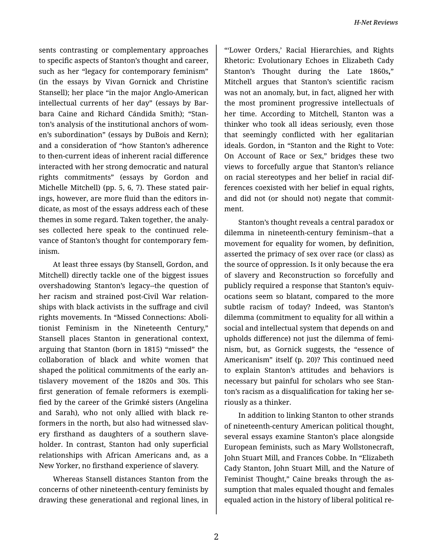sents contrasting or complementary approaches to specific aspects of Stanton's thought and career, such as her "legacy for contemporary feminism" (in the essays by Vivan Gornick and Christine Stansell); her place "in the major Anglo-American intellectual currents of her day" (essays by Bar‐ bara Caine and Richard Cándida Smith); "Stan‐ ton's analysis of the institutional anchors of wom‐ en's subordination" (essays by DuBois and Kern); and a consideration of "how Stanton's adherence to then-current ideas of inherent racial difference interacted with her strong democratic and natural rights commitments" (essays by Gordon and Michelle Mitchell) (pp. 5, 6, 7). These stated pair‐ ings, however, are more fluid than the editors in‐ dicate, as most of the essays address each of these themes in some regard. Taken together, the analy‐ ses collected here speak to the continued rele‐ vance of Stanton's thought for contemporary fem‐ inism.

At least three essays (by Stansell, Gordon, and Mitchell) directly tackle one of the biggest issues overshadowing Stanton's legacy--the question of her racism and strained post-Civil War relation‐ ships with black activists in the suffrage and civil rights movements. In "Missed Connections: Aboli‐ tionist Feminism in the Nineteenth Century," Stansell places Stanton in generational context, arguing that Stanton (born in 1815) "missed" the collaboration of black and white women that shaped the political commitments of the early an‐ tislavery movement of the 1820s and 30s. This first generation of female reformers is exempli‐ fied by the career of the Grimké sisters (Angelina and Sarah), who not only allied with black re‐ formers in the north, but also had witnessed slav‐ ery firsthand as daughters of a southern slave‐ holder. In contrast, Stanton had only superficial relationships with African Americans and, as a New Yorker, no firsthand experience of slavery.

Whereas Stansell distances Stanton from the concerns of other nineteenth-century feminists by drawing these generational and regional lines, in

"'Lower Orders,' Racial Hierarchies, and Rights Rhetoric: Evolutionary Echoes in Elizabeth Cady Stanton's Thought during the Late 1860s**,**" Mitchell argues that Stanton's scientific racism was not an anomaly, but, in fact, aligned her with the most prominent progressive intellectuals of her time. According to Mitchell, Stanton was a thinker who took all ideas seriously, even those that seemingly conflicted with her egalitarian ideals. Gordon, in "Stanton and the Right to Vote: On Account of Race or Sex," bridges these two views to forcefully argue that Stanton's reliance on racial stereotypes and her belief in racial dif‐ ferences coexisted with her belief in equal rights, and did not (or should not) negate that commit‐ ment.

Stanton's thought reveals a central paradox or dilemma in nineteenth-century feminism--that a movement for equality for women, by definition, asserted the primacy of sex over race (or class) as the source of oppression. Is it only because the era of slavery and Reconstruction so forcefully and publicly required a response that Stanton's equiv‐ ocations seem so blatant, compared to the more subtle racism of today? Indeed, was Stanton's dilemma (commitment to equality for all within a social and intellectual system that depends on and upholds difference) not just the dilemma of femi‐ nism, but, as Gornick suggests, the "essence of Americanism" itself (p. 20)? This continued need to explain Stanton's attitudes and behaviors is necessary but painful for scholars who see Stan‐ ton's racism as a disqualification for taking her se‐ riously as a thinker.

In addition to linking Stanton to other strands of nineteenth-century American political thought, several essays examine Stanton's place alongside European feminists, such as Mary Wollstonecraft, John Stuart Mill, and Frances Cobbe. In "Elizabeth Cady Stanton, John Stuart Mill, and the Nature of Feminist Thought," Caine breaks through the as‐ sumption that males equaled thought and females equaled action in the history of liberal political re‐

2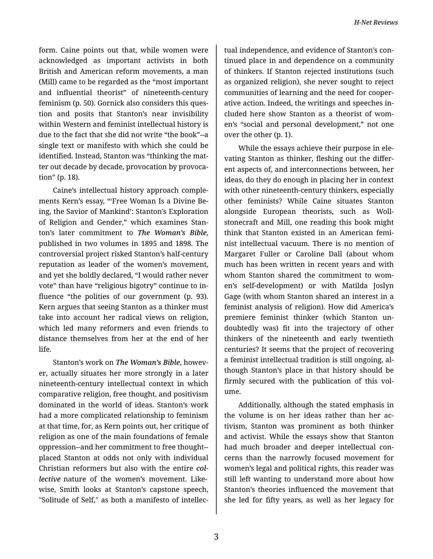form. Caine points out that, while women were acknowledged as important activists in both British and American reform movements, a man (Mill) came to be regarded as the "most important and influential theorist" of nineteenth-century feminism (p. 50). Gornick also considers this ques‐ tion and posits that Stanton's near invisibility within Western and feminist intellectual history is due to the fact that she did not write "the book"--a single text or manifesto with which she could be identified. Instead, Stanton was "thinking the mat‐ ter out decade by decade, provocation by provoca‐ tion" (p. 18).

Caine's intellectual history approach comple‐ ments Kern's essay, "'Free Woman Is a Divine Be‐ ing, the Savior of Mankind': Stanton's Exploration of Religion and Gender," which examines Stan‐ ton's later commitment to *The Woman's Bible*, published in two volumes in 1895 and 1898. The controversial project risked Stanton's half-century reputation as leader of the women's movement, and yet she boldly declared, "I would rather never vote" than have "religious bigotry" continue to in‐ fluence "the polities of our government (p. 93). Kern argues that seeing Stanton as a thinker must take into account her radical views on religion, which led many reformers and even friends to distance themselves from her at the end of her life.

Stanton's work on *The Woman's Bible*, howev‐ er, actually situates her more strongly in a later nineteenth-century intellectual context in which comparative religion, free thought, and positivism dominated in the world of ideas. Stanton's work had a more complicated relationship to feminism at that time, for, as Kern points out, her critique of religion as one of the main foundations of female oppression--and her commitment to free thought- placed Stanton at odds not only with individual Christian reformers but also with the entire *col‐ lective* nature of the women's movement. Likewise, Smith looks at Stanton's capstone speech, "Solitude of Self," as both a manifesto of intellec‐

tual independence, and evidence of Stanton's con‐ tinued place in and dependence on a community of thinkers. If Stanton rejected institutions (such as organized religion), she never sought to reject communities of learning and the need for cooper‐ ative action. Indeed, the writings and speeches in‐ cluded here show Stanton as a theorist of wom‐ en's "social and personal development," not one over the other (p. 1).

While the essays achieve their purpose in ele‐ vating Stanton as thinker, fleshing out the differ‐ ent aspects of, and interconnections between, her ideas, do they do enough in placing her in context with other nineteenth-century thinkers, especially other feminists? While Caine situates Stanton alongside European theorists, such as Woll‐ stonecraft and Mill, one reading this book might think that Stanton existed in an American femi‐ nist intellectual vacuum. There is no mention of Margaret Fuller or Caroline Dall (about whom much has been written in recent years and with whom Stanton shared the commitment to wom‐ en's self-development) or with Matilda Joslyn Gage (with whom Stanton shared an interest in a feminist analysis of religion). How did America's premiere feminist thinker (which Stanton un‐ doubtedly was) fit into the trajectory of other thinkers of the nineteenth and early twentieth centuries? It seems that the project of recovering a feminist intellectual tradition is still ongoing, al‐ though Stanton's place in that history should be firmly secured with the publication of this volume.

Additionally, although the stated emphasis in the volume is on her ideas rather than her ac‐ tivism, Stanton was prominent as both thinker and activist. While the essays show that Stanton had much broader and deeper intellectual con‐ cerns than the narrowly focused movement for women's legal and political rights, this reader was still left wanting to understand more about how Stanton's theories influenced the movement that she led for fifty years, as well as her legacy for

3